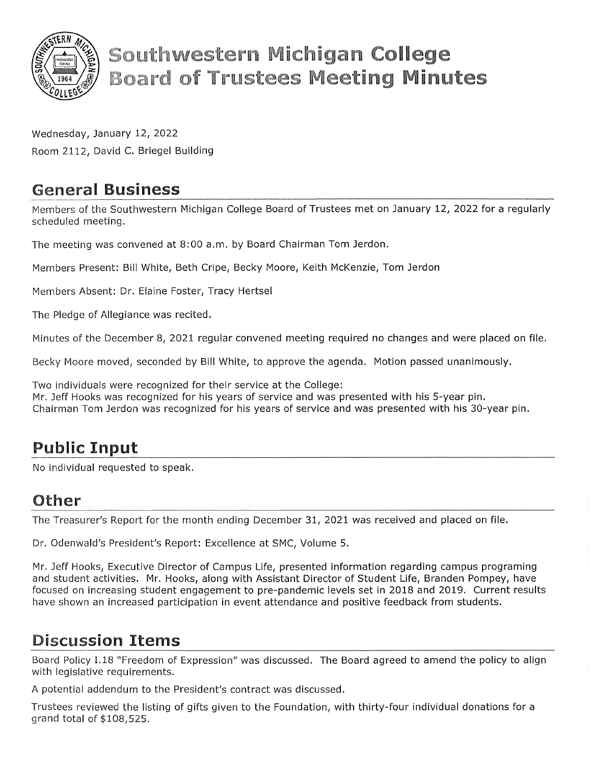

# **Southwestern Michigan College Board of Trustees Meeting Minutes**

Wednesday, January 12, 2022 Room 2112, David C. Briegel Building

## General Business

Members of the Southwestern Michigan College Board of Trustees met on January 12, 2022 for a regularly scheduled meeting.

The meeting was convened at 8:00 a.m. by Board Chairman Tom Jerdon.

Members Present: Bill White, Beth Cripe, Becky Moore, Keith McKenzie, Tom Jerdon

Members Absent: Dr. Elaine Foster, Tracy Hertsel

The Pledge of Allegiance was recited.

Minutes of the December 8, 2021 regular convened meeting required no changes and were placed on file.

Becky Moore moved, seconded by Bill White, to approve the agenda. Motion passed unanimously.

Two individuals were recognized for their service at the College: Mr. Jeff Hooks was recognized for his years of service and was presented with his 5-year pin. Chairman Tom Jerdon was recognized for his years of service and was presented with his 30-year pin.

# Public Input

No individual requested to speak.

### Other

The Treasurer's Report for the month ending December 31, 2021 was received and placed on file.

Dr. Odenwald's President's Report: Excellence at SMC, Volume 5.

Mr. Jeff Hooks, Executive Director of Campus Life, presented information regarding campus programing and student activities. Mr. Hooks, along with Assistant Director of Student Life, Branden Pompey, have focused on increasing student engagement to pre-pandemic levels set in 2018 and 2019. Current results have shown an increased participation in event attendance and positive feedback from students.

# Discussion Items

Board Policy I.18 "Freedom of Expression" was discussed. The Board agreed to amend the policy to align with legislative requirements.

A potential addendum to the President's contract was discussed.

Trustees reviewed the listing of gifts given to the Foundation, with thirty-four individual donations for a grand total of \$108,525.